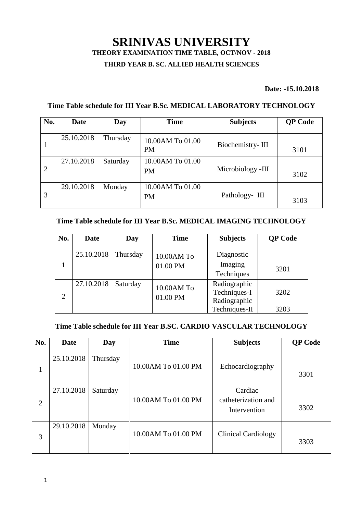# **SRINIVAS UNIVERSITY THEORY EXAMINATION TIME TABLE, OCT/NOV - 2018**

# **THIRD YEAR B. SC. ALLIED HEALTH SCIENCES**

#### **Date: -15.10.2018**

### **Time Table schedule for III Year B.Sc. MEDICAL LABORATORY TECHNOLOGY**

| No.            | <b>Date</b> | Day      | <b>Time</b>                   | <b>Subjects</b>   | <b>QP</b> Code |
|----------------|-------------|----------|-------------------------------|-------------------|----------------|
| $\mathbf{1}$   | 25.10.2018  | Thursday | 10.00AM To 01.00<br><b>PM</b> | Biochemistry-III  | 3101           |
| $\overline{2}$ | 27.10.2018  | Saturday | 10.00AM To 01.00<br><b>PM</b> | Microbiology -III | 3102           |
| 3              | 29.10.2018  | Monday   | 10.00AM To 01.00<br><b>PM</b> | Pathology- III    | 3103           |

### **Time Table schedule for III Year B.Sc. MEDICAL IMAGING TECHNOLOGY**

| No.            | <b>Date</b> | Day      | <b>Time</b> | <b>Subjects</b>               | <b>QP</b> Code |
|----------------|-------------|----------|-------------|-------------------------------|----------------|
|                | 25.10.2018  | Thursday | 10.00AM To  | Diagnostic<br>Imaging         |                |
|                |             | 01.00 PM | Techniques  | 3201                          |                |
| $\overline{2}$ | 27.10.2018  | Saturday | 10.00AM To  | Radiographic<br>Techniques-I  | 3202           |
|                |             |          | 01.00 PM    | Radiographic<br>Techniques-II | 3203           |

# **Time Table schedule for III Year B.SC. CARDIO VASCULAR TECHNOLOGY**

| No.            | <b>Date</b> | Day      | <b>Time</b>         | <b>Subjects</b>                                | <b>QP</b> Code |
|----------------|-------------|----------|---------------------|------------------------------------------------|----------------|
| 1              | 25.10.2018  | Thursday | 10.00AM To 01.00 PM | Echocardiography                               | 3301           |
| $\overline{2}$ | 27.10.2018  | Saturday | 10.00AM To 01.00 PM | Cardiac<br>catheterization and<br>Intervention | 3302           |
| 3              | 29.10.2018  | Monday   | 10.00AM To 01.00 PM | <b>Clinical Cardiology</b>                     | 3303           |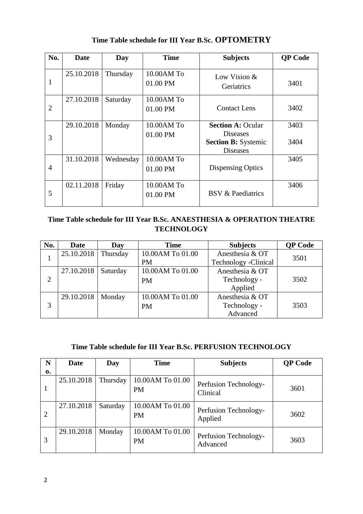| No.            | Date       | Day       | <b>Time</b>            | <b>Subjects</b>                               | <b>QP</b> Code |
|----------------|------------|-----------|------------------------|-----------------------------------------------|----------------|
| 1              | 25.10.2018 | Thursday  | 10.00AM To<br>01.00 PM | Low Vision $&$<br>Geriatrics                  | 3401           |
| $\overline{2}$ | 27.10.2018 | Saturday  | 10.00AM To<br>01.00 PM | <b>Contact Lens</b>                           | 3402           |
| 3              | 29.10.2018 | Monday    | 10.00AM To<br>01.00 PM | <b>Section A: Ocular</b><br><b>Diseases</b>   | 3403           |
|                |            |           |                        | <b>Section B: Systemic</b><br><b>Diseases</b> | 3404           |
| $\overline{4}$ | 31.10.2018 | Wednesday | 10.00AM To<br>01.00 PM | <b>Dispensing Optics</b>                      | 3405           |
| 5              | 02.11.2018 | Friday    | 10.00AM To<br>01.00 PM | <b>BSV &amp; Paediatrics</b>                  | 3406           |

# **Time Table schedule for III Year B.Sc. OPTOMETRY**

# **Time Table schedule for III Year B.Sc. ANAESTHESIA & OPERATION THEATRE TECHNOLOGY**

| No.            | <b>Date</b> | Day      | <b>Time</b>      | <b>Subjects</b>       | <b>QP</b> Code |
|----------------|-------------|----------|------------------|-----------------------|----------------|
|                | 25.10.2018  | Thursday | 10.00AM To 01.00 | Anesthesia & OT       | 3501           |
| T              |             |          | <b>PM</b>        | Technology - Clinical |                |
|                | 27.10.2018  | Saturday | 10.00AM To 01.00 | Anesthesia & OT       |                |
| $\overline{2}$ |             |          | <b>PM</b>        | Technology -          | 3502           |
|                |             |          |                  | Applied               |                |
|                | 29.10.2018  | Monday   | 10.00AM To 01.00 | Anesthesia & OT       |                |
| 3              |             |          | <b>PM</b>        | Technology -          | 3503           |
|                |             |          |                  | Advanced              |                |

# **Time Table schedule for III Year B.Sc. PERFUSION TECHNOLOGY**

| N  | Date       | Day      | <b>Time</b>                   | <b>Subjects</b>                   | <b>QP</b> Code |
|----|------------|----------|-------------------------------|-----------------------------------|----------------|
| 0. |            |          |                               |                                   |                |
| 1  | 25.10.2018 | Thursday | 10.00AM To 01.00<br><b>PM</b> | Perfusion Technology-<br>Clinical | 3601           |
| 2  | 27.10.2018 | Saturday | 10.00AM To 01.00<br><b>PM</b> | Perfusion Technology-<br>Applied  | 3602           |
| 3  | 29.10.2018 | Monday   | 10.00AM To 01.00<br><b>PM</b> | Perfusion Technology-<br>Advanced | 3603           |